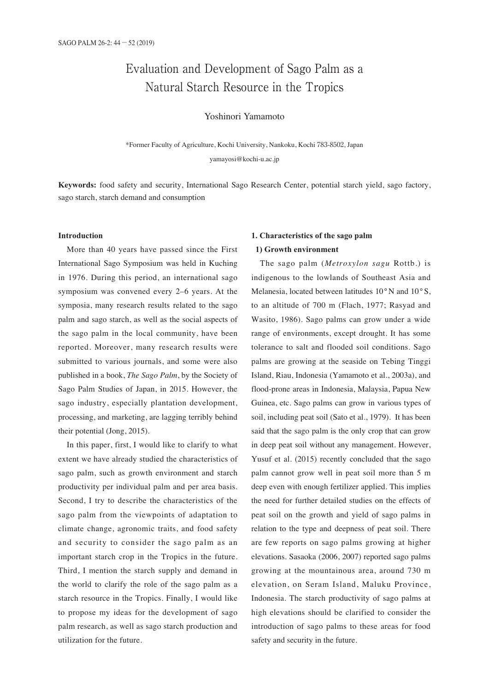# Evaluation and Development of Sago Palm as a Natural Starch Resource in the Tropics

### Yoshinori Yamamoto

\*Former Faculty of Agriculture, Kochi University, Nankoku, Kochi 783-8502, Japan yamayosi@kochi-u.ac.jp

**Keywords:** food safety and security, International Sago Research Center, potential starch yield, sago factory, sago starch, starch demand and consumption

#### **Introduction**

More than 40 years have passed since the First International Sago Symposium was held in Kuching in 1976. During this period, an international sago symposium was convened every 2–6 years. At the symposia, many research results related to the sago palm and sago starch, as well as the social aspects of the sago palm in the local community, have been reported. Moreover, many research results were submitted to various journals, and some were also published in a book, *The Sago Palm*, by the Society of Sago Palm Studies of Japan, in 2015. However, the sago industry, especially plantation development, processing, and marketing, are lagging terribly behind their potential (Jong, 2015).

In this paper, first, I would like to clarify to what extent we have already studied the characteristics of sago palm, such as growth environment and starch productivity per individual palm and per area basis. Second, I try to describe the characteristics of the sago palm from the viewpoints of adaptation to climate change, agronomic traits, and food safety and security to consider the sago palm as an important starch crop in the Tropics in the future. Third, I mention the starch supply and demand in the world to clarify the role of the sago palm as a starch resource in the Tropics. Finally, I would like to propose my ideas for the development of sago palm research, as well as sago starch production and utilization for the future.

## **1. Characteristics of the sago palm 1) Growth environment**

The sago palm (*Metroxylon sagu* Rottb.) is indigenous to the lowlands of Southeast Asia and Melanesia, located between latitudes 10°N and 10°S, to an altitude of 700 m (Flach, 1977; Rasyad and Wasito, 1986). Sago palms can grow under a wide range of environments, except drought. It has some tolerance to salt and flooded soil conditions. Sago palms are growing at the seaside on Tebing Tinggi Island, Riau, Indonesia (Yamamoto et al., 2003a), and flood-prone areas in Indonesia, Malaysia, Papua New Guinea, etc. Sago palms can grow in various types of soil, including peat soil (Sato et al., 1979). It has been said that the sago palm is the only crop that can grow in deep peat soil without any management. However, Yusuf et al. (2015) recently concluded that the sago palm cannot grow well in peat soil more than 5 m deep even with enough fertilizer applied. This implies the need for further detailed studies on the effects of peat soil on the growth and yield of sago palms in relation to the type and deepness of peat soil. There are few reports on sago palms growing at higher elevations. Sasaoka (2006, 2007) reported sago palms growing at the mountainous area, around 730 m elevation, on Seram Island, Maluku Province, Indonesia. The starch productivity of sago palms at high elevations should be clarified to consider the introduction of sago palms to these areas for food safety and security in the future.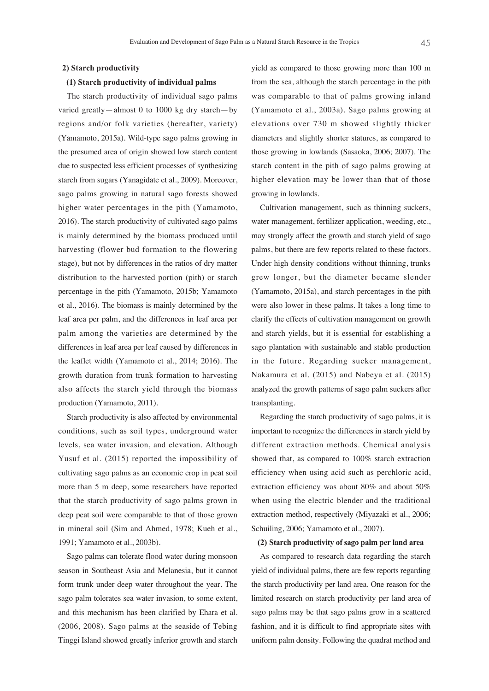#### **2) Starch productivity**

#### **(1) Starch productivity of individual palms**

The starch productivity of individual sago palms varied greatly—almost 0 to 1000 kg dry starch—by regions and/or folk varieties (hereafter, variety) (Yamamoto, 2015a). Wild-type sago palms growing in the presumed area of origin showed low starch content due to suspected less efficient processes of synthesizing starch from sugars (Yanagidate et al., 2009). Moreover, sago palms growing in natural sago forests showed higher water percentages in the pith (Yamamoto, 2016). The starch productivity of cultivated sago palms is mainly determined by the biomass produced until harvesting (flower bud formation to the flowering stage), but not by differences in the ratios of dry matter distribution to the harvested portion (pith) or starch percentage in the pith (Yamamoto, 2015b; Yamamoto et al., 2016). The biomass is mainly determined by the leaf area per palm, and the differences in leaf area per palm among the varieties are determined by the differences in leaf area per leaf caused by differences in the leaflet width (Yamamoto et al., 2014; 2016). The growth duration from trunk formation to harvesting also affects the starch yield through the biomass production (Yamamoto, 2011).

Starch productivity is also affected by environmental conditions, such as soil types, underground water levels, sea water invasion, and elevation. Although Yusuf et al. (2015) reported the impossibility of cultivating sago palms as an economic crop in peat soil more than 5 m deep, some researchers have reported that the starch productivity of sago palms grown in deep peat soil were comparable to that of those grown in mineral soil (Sim and Ahmed, 1978; Kueh et al., 1991; Yamamoto et al., 2003b).

Sago palms can tolerate flood water during monsoon season in Southeast Asia and Melanesia, but it cannot form trunk under deep water throughout the year. The sago palm tolerates sea water invasion, to some extent, and this mechanism has been clarified by Ehara et al. (2006, 2008). Sago palms at the seaside of Tebing Tinggi Island showed greatly inferior growth and starch

yield as compared to those growing more than 100 m from the sea, although the starch percentage in the pith was comparable to that of palms growing inland (Yamamoto et al., 2003a). Sago palms growing at elevations over 730 m showed slightly thicker diameters and slightly shorter statures, as compared to those growing in lowlands (Sasaoka, 2006; 2007). The starch content in the pith of sago palms growing at higher elevation may be lower than that of those growing in lowlands.

Cultivation management, such as thinning suckers, water management, fertilizer application, weeding, etc., may strongly affect the growth and starch yield of sago palms, but there are few reports related to these factors. Under high density conditions without thinning, trunks grew longer, but the diameter became slender (Yamamoto, 2015a), and starch percentages in the pith were also lower in these palms. It takes a long time to clarify the effects of cultivation management on growth and starch yields, but it is essential for establishing a sago plantation with sustainable and stable production in the future. Regarding sucker management, Nakamura et al. (2015) and Nabeya et al. (2015) analyzed the growth patterns of sago palm suckers after transplanting.

Regarding the starch productivity of sago palms, it is important to recognize the differences in starch yield by different extraction methods. Chemical analysis showed that, as compared to 100% starch extraction efficiency when using acid such as perchloric acid, extraction efficiency was about 80% and about 50% when using the electric blender and the traditional extraction method, respectively (Miyazaki et al., 2006; Schuiling, 2006; Yamamoto et al., 2007).

#### **(2) Starch productivity of sago palm per land area**

As compared to research data regarding the starch yield of individual palms, there are few reports regarding the starch productivity per land area. One reason for the limited research on starch productivity per land area of sago palms may be that sago palms grow in a scattered fashion, and it is difficult to find appropriate sites with uniform palm density. Following the quadrat method and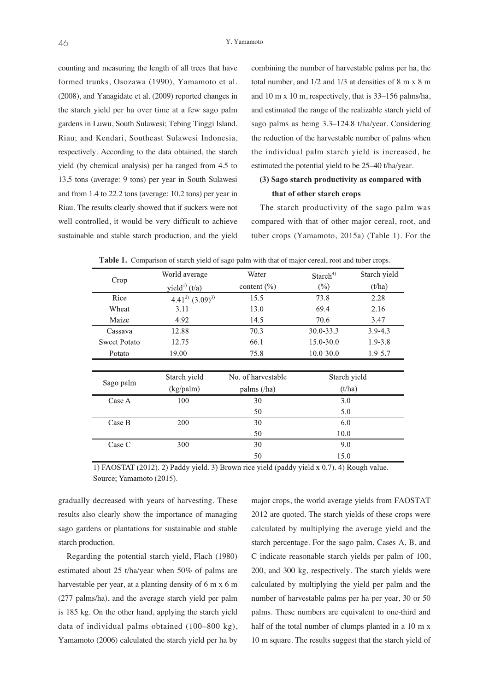counting and measuring the length of all trees that have formed trunks, Osozawa (1990), Yamamoto et al. (2008), and Yanagidate et al. (2009) reported changes in the starch yield per ha over time at a few sago palm gardens in Luwu, South Sulawesi; Tebing Tinggi Island, Riau; and Kendari, Southeast Sulawesi Indonesia, respectively. According to the data obtained, the starch yield (by chemical analysis) per ha ranged from 4.5 to 13.5 tons (average: 9 tons) per year in South Sulawesi and from 1.4 to 22.2 tons (average: 10.2 tons) per year in Riau. The results clearly showed that if suckers were not well controlled, it would be very difficult to achieve sustainable and stable starch production, and the yield

combining the number of harvestable palms per ha, the total number, and 1/2 and 1/3 at densities of 8 m x 8 m and 10 m x 10 m, respectively, that is 33–156 palms/ha, and estimated the range of the realizable starch yield of sago palms as being 3.3–124.8 t/ha/year. Considering the reduction of the harvestable number of palms when the individual palm starch yield is increased, he estimated the potential yield to be 25–40 t/ha/year.

### **(3) Sago starch productivity as compared with that of other starch crops**

The starch productivity of the sago palm was compared with that of other major cereal, root, and tuber crops (Yamamoto, 2015a) (Table 1). For the

| Crop                | World average             | Water                | Starch <sup>4)</sup> | Starch yield |
|---------------------|---------------------------|----------------------|----------------------|--------------|
|                     | yield <sup>1)</sup> (t/a) | content $(\% )$      | $(\%)$               | (t/ha)       |
| Rice                | $4.41^{2}$ $(3.09)^{3}$   | 15.5                 | 73.8                 | 2.28         |
| Wheat               | 3.11                      | 13.0                 | 69.4                 | 2.16         |
| Maize               | 4.92                      | 14.5                 | 70.6                 | 3.47         |
| Cassava             | 12.88                     | 70.3                 | $30.0 - 33.3$        | $3.9 - 4.3$  |
| <b>Sweet Potato</b> | 12.75                     | 66.1                 | $15.0 - 30.0$        | $1.9 - 3.8$  |
| Potato              | 19.00                     | 75.8                 | $10.0 - 30.0$        | $1.9 - 5.7$  |
|                     |                           |                      |                      |              |
| Sago palm           | Starch yield              | No. of harvestable   | Starch yield         |              |
|                     | (kg/palm)                 | palms $(/\text{ha})$ | (t/ha)               |              |
| Case A              | 100                       | 3.0<br>30            |                      |              |
|                     |                           | 50                   | 5.0                  |              |
| Case B              | 200<br>30                 |                      | 6.0                  |              |
|                     |                           | 50                   | 10.0                 |              |
| Case C              | 300                       | 30                   | 9.0                  |              |
|                     |                           | 50                   | 15.0                 |              |

**Table 1.** Comparison of starch yield of sago palm with that of major cereal, root and tuber crops.

1) FAOSTAT (2012). 2) Paddy yield. 3) Brown rice yield (paddy yield x 0.7). 4) Rough value. Source; Yamamoto (2015).

gradually decreased with years of harvesting. These results also clearly show the importance of managing sago gardens or plantations for sustainable and stable starch production.

Regarding the potential starch yield, Flach (1980) estimated about 25 t/ha/year when 50% of palms are harvestable per year, at a planting density of 6 m x 6 m (277 palms/ha), and the average starch yield per palm is 185 kg. On the other hand, applying the starch yield data of individual palms obtained (100–800 kg), Yamamoto (2006) calculated the starch yield per ha by

major crops, the world average yields from FAOSTAT 2012 are quoted. The starch yields of these crops were calculated by multiplying the average yield and the starch percentage. For the sago palm, Cases A, B, and C indicate reasonable starch yields per palm of 100, 200, and 300 kg, respectively. The starch yields were calculated by multiplying the yield per palm and the number of harvestable palms per ha per year, 30 or 50 palms. These numbers are equivalent to one-third and half of the total number of clumps planted in a 10 m x 10 m square. The results suggest that the starch yield of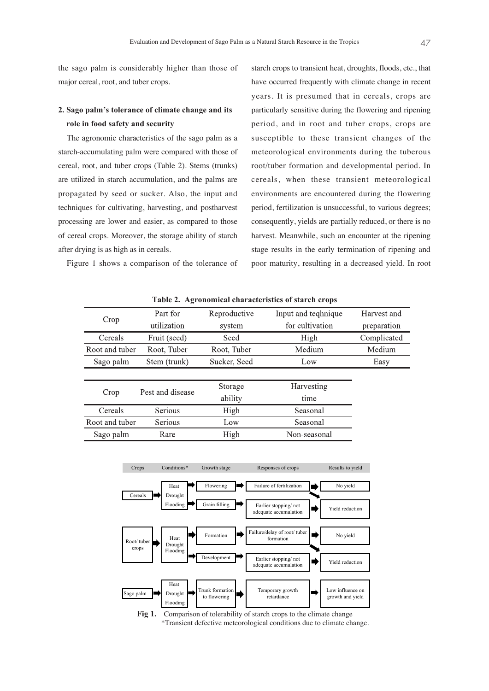the sago palm is considerably higher than those of major cereal, root, and tuber crops.

### **2. Sago palm's tolerance of climate change and its role in food safety and security**

The agronomic characteristics of the sago palm as a starch-accumulating palm were compared with those of cereal, root, and tuber crops (Table 2). Stems (trunks) are utilized in starch accumulation, and the palms are propagated by seed or sucker. Also, the input and techniques for cultivating, harvesting, and postharvest processing are lower and easier, as compared to those of cereal crops. Moreover, the storage ability of starch after drying is as high as in cereals.

Figure 1 shows a comparison of the tolerance of

starch crops to transient heat, droughts, floods, etc., that have occurred frequently with climate change in recent years. It is presumed that in cereals, crops are particularly sensitive during the flowering and ripening period, and in root and tuber crops, crops are susceptible to these transient changes of the meteorological environments during the tuberous root/tuber formation and developmental period. In cereals, when these transient meteorological environments are encountered during the flowering period, fertilization is unsuccessful, to various degrees; consequently, yields are partially reduced, or there is no harvest. Meanwhile, such an encounter at the ripening stage results in the early termination of ripening and poor maturity, resulting in a decreased yield. In root

| $\mathbf{r}$ and $\mathbf{r}$ and $\mathbf{r}$ and $\mathbf{r}$ and $\mathbf{r}$ are not follow that $\mathbf{r}$ and $\mathbf{r}$ |                  |              |                     |             |  |  |  |
|------------------------------------------------------------------------------------------------------------------------------------|------------------|--------------|---------------------|-------------|--|--|--|
| Crop                                                                                                                               | Part for         | Reproductive | Input and teqhnique | Harvest and |  |  |  |
|                                                                                                                                    | utilization      | system       | for cultivation     | preparation |  |  |  |
| Cereals                                                                                                                            | Fruit (seed)     | Seed         | High                | Complicated |  |  |  |
| Root and tuber                                                                                                                     | Root, Tuber      | Root, Tuber  | Medium              | Medium      |  |  |  |
| Sago palm                                                                                                                          | Stem (trunk)     | Sucker, Seed | Low                 | Easy        |  |  |  |
|                                                                                                                                    |                  |              |                     |             |  |  |  |
| Crop                                                                                                                               | Pest and disease | Storage      | Harvesting          |             |  |  |  |
|                                                                                                                                    |                  | ability      | time                |             |  |  |  |
| Cereals                                                                                                                            | Serious          | High         | Seasonal            |             |  |  |  |
| Root and tuber                                                                                                                     | Serious          | Low          | Seasonal            |             |  |  |  |
| Sago palm                                                                                                                          | Rare             | High         | Non-seasonal        |             |  |  |  |

**Table 2. Agronomical characteristics of starch crops**



Fig 1. Comparison of tolerability of starch crops to the climate change \*Transient defective meteorological conditions due to climate change.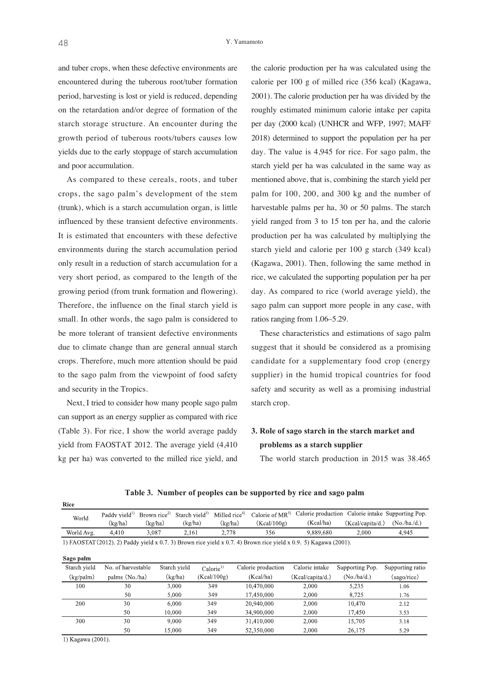and tuber crops, when these defective environments are encountered during the tuberous root/tuber formation period, harvesting is lost or yield is reduced, depending on the retardation and/or degree of formation of the starch storage structure. An encounter during the growth period of tuberous roots/tubers causes low yields due to the early stoppage of starch accumulation and poor accumulation.

As compared to these cereals, roots, and tuber crops, the sago palm's development of the stem (trunk), which is a starch accumulation organ, is little influenced by these transient defective environments. It is estimated that encounters with these defective environments during the starch accumulation period only result in a reduction of starch accumulation for a very short period, as compared to the length of the growing period (from trunk formation and flowering). Therefore, the influence on the final starch yield is small. In other words, the sago palm is considered to be more tolerant of transient defective environments due to climate change than are general annual starch crops. Therefore, much more attention should be paid to the sago palm from the viewpoint of food safety and security in the Tropics.

Next, I tried to consider how many people sago palm can support as an energy supplier as compared with rice (Table 3). For rice, I show the world average paddy yield from FAOSTAT 2012. The average yield (4,410 kg per ha) was converted to the milled rice yield, and

the calorie production per ha was calculated using the calorie per 100 g of milled rice (356 kcal) (Kagawa, 2001). The calorie production per ha was divided by the roughly estimated minimum calorie intake per capita per day (2000 kcal) (UNHCR and WFP, 1997; MAFF 2018) determined to support the population per ha per day. The value is 4,945 for rice. For sago palm, the starch yield per ha was calculated in the same way as mentioned above, that is, combining the starch yield per palm for 100, 200, and 300 kg and the number of harvestable palms per ha, 30 or 50 palms. The starch yield ranged from 3 to 15 ton per ha, and the calorie production per ha was calculated by multiplying the starch yield and calorie per 100 g starch (349 kcal) (Kagawa, 2001). Then, following the same method in rice, we calculated the supporting population per ha per day. As compared to rice (world average yield), the sago palm can support more people in any case, with ratios ranging from 1.06–5.29.

These characteristics and estimations of sago palm suggest that it should be considered as a promising candidate for a supplementary food crop (energy supplier) in the humid tropical countries for food safety and security as well as a promising industrial starch crop.

### **3. Role of sago starch in the starch market and problems as a starch supplier**

The world starch production in 2015 was 38.465

| <b>Rice</b>         |                           |                          |                  |                           |                     |                                                                                                                  |                  |                                |
|---------------------|---------------------------|--------------------------|------------------|---------------------------|---------------------|------------------------------------------------------------------------------------------------------------------|------------------|--------------------------------|
| World               | Paddy vield <sup>1)</sup> | Brown rice <sup>2)</sup> | Starch vield $3$ | Milled rice <sup>4)</sup> | Calorie of $MR^{5}$ | Calorie production                                                                                               |                  | Calorie intake Supporting Pop. |
|                     | (kg/ha)                   | (kg/ha)                  | (kg/ha)          | (kg/ha)                   | (Kcal/100g)         | (Kcal/ha)                                                                                                        | (Kcal/capita/d.) | (No/ha/d.)                     |
| World Avg.          | 4,410                     | 3,087                    | 2,161            | 2,778                     | 356                 | 9,889,680                                                                                                        | 2,000            | 4,945                          |
|                     |                           |                          |                  |                           |                     | 1) FAOSTAT (2012). 2) Paddy yield x 0.7. 3) Brown rice yield x 0.7. 4) Brown rice yield x 0.9. 5) Kagawa (2001). |                  |                                |
| Sago palm           |                           |                          |                  |                           |                     |                                                                                                                  |                  |                                |
| Starch yield        | No. of harvestable        |                          | Starch yield     | Calorie <sup>1</sup>      | Calorie production  | Calorie intake                                                                                                   | Supporting Pop.  | Supporting ratio               |
| $(kg/{{\rm palm}})$ | palms (No./ha)            |                          | (kg/ha)          | (Kcal/100g)               | (Kcal/ha)           | (Keal/capita/d.)                                                                                                 | $(No$ ./ha/d.)   | (sago/rice)                    |
| 100                 | 30                        |                          | 3,000            | 349                       | 10,470,000          | 2,000                                                                                                            | 5,235            | 1.06                           |
|                     | 50                        |                          | 5,000            | 349                       | 17,450,000          | 2,000                                                                                                            | 8.725            | 1.76                           |
| 200                 | 30                        |                          | 6,000            | 349                       | 20,940,000          | 2,000                                                                                                            | 10.470           | 2.12                           |
|                     | 50                        |                          | 10.000           | 349                       | 34,900,000          | 2,000                                                                                                            | 17,450           | 3.53                           |
| 300                 | 30                        |                          | 9,000            | 349                       | 31,410,000          | 2,000                                                                                                            | 15,705           | 3.18                           |
|                     | 50                        |                          | 15,000           | 349                       | 52,350,000          | 2,000                                                                                                            | 26,175           | 5.29                           |

**Table 3. Number of peoples can be supported by rice and sago palm**

1) Kagawa (2001).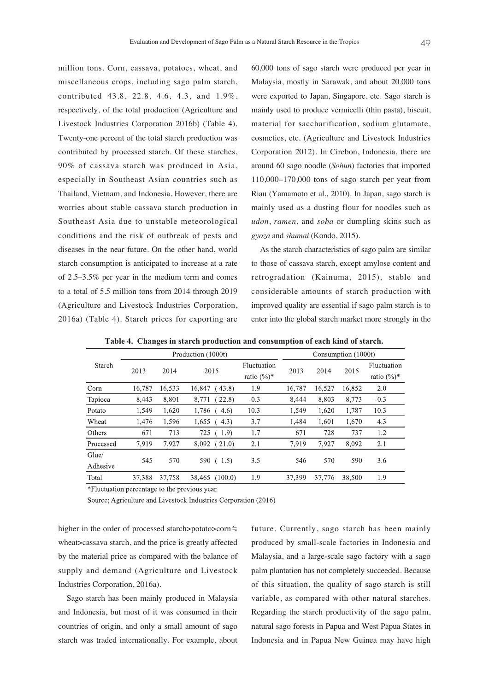million tons. Corn, cassava, potatoes, wheat, and miscellaneous crops, including sago palm starch, contributed 43.8, 22.8, 4.6, 4.3, and 1.9%, respectively, of the total production (Agriculture and Livestock Industries Corporation 2016b) (Table 4). Twenty-one percent of the total starch production was contributed by processed starch. Of these starches, 90% of cassava starch was produced in Asia, especially in Southeast Asian countries such as Thailand, Vietnam, and Indonesia. However, there are worries about stable cassava starch production in Southeast Asia due to unstable meteorological conditions and the risk of outbreak of pests and diseases in the near future. On the other hand, world starch consumption is anticipated to increase at a rate of 2.5–3.5% per year in the medium term and comes to a total of 5.5 million tons from 2014 through 2019 (Agriculture and Livestock Industries Corporation, 2016a) (Table 4). Starch prices for exporting are

60,000 tons of sago starch were produced per year in Malaysia, mostly in Sarawak, and about 20,000 tons were exported to Japan, Singapore, etc. Sago starch is mainly used to produce vermicelli (thin pasta), biscuit, material for saccharification, sodium glutamate, cosmetics, etc. (Agriculture and Livestock Industries Corporation 2012). In Cirebon, Indonesia, there are around 60 sago noodle (*Sohun*) factories that imported 110,000–170,000 tons of sago starch per year from Riau (Yamamoto et al., 2010). In Japan, sago starch is mainly used as a dusting flour for noodles such as *udon*, *ramen*, and *soba* or dumpling skins such as *gyoza* and *shumai* (Kondo, 2015).

As the starch characteristics of sago palm are similar to those of cassava starch, except amylose content and retrogradation (Kainuma, 2015), stable and considerable amounts of starch production with improved quality are essential if sago palm starch is to enter into the global starch market more strongly in the

|                   |        | Consumption (1000t) |                   |                               |        |        |        |                               |
|-------------------|--------|---------------------|-------------------|-------------------------------|--------|--------|--------|-------------------------------|
| Starch            | 2013   | 2014                | 2015              | Fluctuation<br>ratio $(\%)^*$ | 2013   | 2014   | 2015   | Fluctuation<br>ratio $(\%)^*$ |
| Corn              | 16.787 | 16,533              | 16,847<br>(43.8)  | 1.9                           | 16.787 | 16,527 | 16,852 | 2.0                           |
| Tapioca           | 8,443  | 8,801               | 22.8)<br>8,771    | $-0.3$                        | 8,444  | 8,803  | 8,773  | $-0.3$                        |
| Potato            | 1,549  | 1,620               | 1,786<br>(4.6)    | 10.3                          | 1,549  | 1,620  | 1,787  | 10.3                          |
| Wheat             | 1,476  | 1,596               | 1,655<br>(4.3)    | 3.7                           | 1,484  | 1,601  | 1,670  | 4.3                           |
| Others            | 671    | 713                 | (1.9)<br>725      | 1.7                           | 671    | 728    | 737    | 1.2                           |
| Processed         | 7.919  | 7.927               | (21.0)<br>8,092   | 2.1                           | 7.919  | 7,927  | 8,092  | 2.1                           |
| Glue/<br>Adhesive | 545    | 570                 | 590<br>(1.5)      | 3.5                           | 546    | 570    | 590    | 3.6                           |
| Total             | 37,388 | 37,758              | (100.0)<br>38.465 | 1.9                           | 37,399 | 37,776 | 38,500 | 1.9                           |

**Table 4. Changes in starch production and consumption of each kind of starch.**

\*Fluctuation percentage to the previous year.

Source; Agriculture and Livestock Industries Corporation (2016)

higher in the order of processed starch>potato>corn≒ wheat>cassava starch, and the price is greatly affected by the material price as compared with the balance of supply and demand (Agriculture and Livestock Industries Corporation, 2016a).

Sago starch has been mainly produced in Malaysia and Indonesia, but most of it was consumed in their countries of origin, and only a small amount of sago starch was traded internationally. For example, about future. Currently, sago starch has been mainly produced by small-scale factories in Indonesia and Malaysia, and a large-scale sago factory with a sago palm plantation has not completely succeeded. Because of this situation, the quality of sago starch is still variable, as compared with other natural starches. Regarding the starch productivity of the sago palm, natural sago forests in Papua and West Papua States in Indonesia and in Papua New Guinea may have high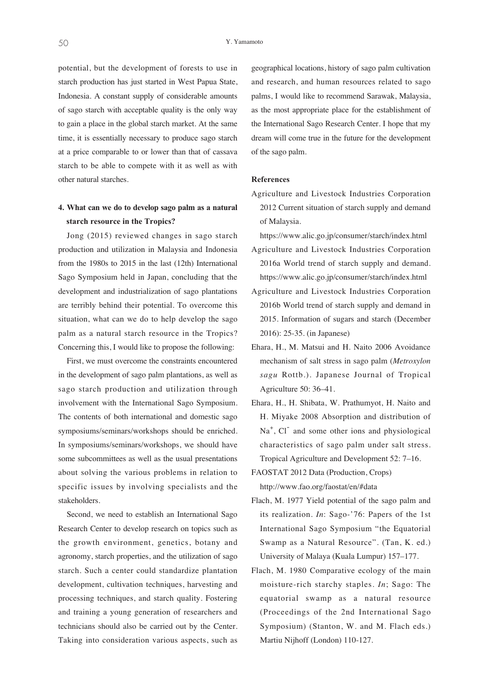potential, but the development of forests to use in starch production has just started in West Papua State, Indonesia. A constant supply of considerable amounts of sago starch with acceptable quality is the only way to gain a place in the global starch market. At the same time, it is essentially necessary to produce sago starch at a price comparable to or lower than that of cassava starch to be able to compete with it as well as with other natural starches.

### **4. What can we do to develop sago palm as a natural starch resource in the Tropics?**

Jong (2015) reviewed changes in sago starch production and utilization in Malaysia and Indonesia from the 1980s to 2015 in the last (12th) International Sago Symposium held in Japan, concluding that the development and industrialization of sago plantations are terribly behind their potential. To overcome this situation, what can we do to help develop the sago palm as a natural starch resource in the Tropics? Concerning this, I would like to propose the following:

First, we must overcome the constraints encountered in the development of sago palm plantations, as well as sago starch production and utilization through involvement with the International Sago Symposium. The contents of both international and domestic sago symposiums/seminars/workshops should be enriched. In symposiums/seminars/workshops, we should have some subcommittees as well as the usual presentations about solving the various problems in relation to specific issues by involving specialists and the stakeholders.

Second, we need to establish an International Sago Research Center to develop research on topics such as the growth environment, genetics, botany and agronomy, starch properties, and the utilization of sago starch. Such a center could standardize plantation development, cultivation techniques, harvesting and processing techniques, and starch quality. Fostering and training a young generation of researchers and technicians should also be carried out by the Center. Taking into consideration various aspects, such as

geographical locations, history of sago palm cultivation and research, and human resources related to sago palms, I would like to recommend Sarawak, Malaysia, as the most appropriate place for the establishment of the International Sago Research Center. I hope that my dream will come true in the future for the development of the sago palm.

#### **References**

Agriculture and Livestock Industries Corporation 2012 Current situation of starch supply and demand of Malaysia.

https://www.alic.go.jp/consumer/starch/index.html

- Agriculture and Livestock Industries Corporation 2016a World trend of starch supply and demand. https://www.alic.go.jp/consumer/starch/index.html
- Agriculture and Livestock Industries Corporation 2016b World trend of starch supply and demand in 2015. Information of sugars and starch (December 2016): 25-35. (in Japanese)
- Ehara, H., M. Matsui and H. Naito 2006 Avoidance mechanism of salt stress in sago palm (*Metroxylon sagu* Rottb.). Japanese Journal of Tropical Agriculture 50: 36–41.
- Ehara, H., H. Shibata, W. Prathumyot, H. Naito and H. Miyake 2008 Absorption and distribution of Na<sup>+</sup>, Cl<sup>-</sup> and some other ions and physiological characteristics of sago palm under salt stress. Tropical Agriculture and Development 52: 7–16.
- FAOSTAT 2012 Data (Production, Crops)

http://www.fao.org/faostat/en/#data

- Flach, M. 1977 Yield potential of the sago palm and its realization. *In*: Sago-'76: Papers of the 1st International Sago Symposium "the Equatorial Swamp as a Natural Resource". (Tan, K. ed.) University of Malaya (Kuala Lumpur) 157–177.
- Flach, M. 1980 Comparative ecology of the main moisture-rich starchy staples. *In*; Sago: The equatorial swamp as a natural resource (Proceedings of the 2nd International Sago Symposium) (Stanton, W. and M. Flach eds.) Martiu Nijhoff (London) 110-127.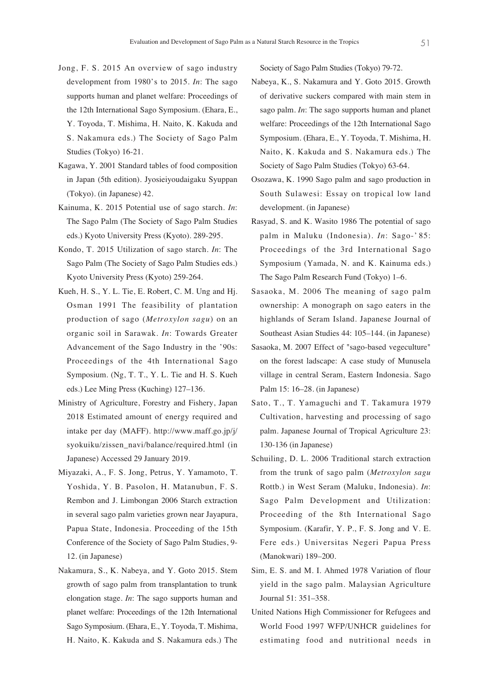- Jong, F. S. 2015 An overview of sago industry development from 1980's to 2015. *In*: The sago supports human and planet welfare: Proceedings of the 12th International Sago Symposium. (Ehara, E., Y. Toyoda, T. Mishima, H. Naito, K. Kakuda and S. Nakamura eds.) The Society of Sago Palm Studies (Tokyo) 16-21.
- Kagawa, Y. 2001 Standard tables of food composition in Japan (5th edition). Jyosieiyoudaigaku Syuppan (Tokyo). (in Japanese) 42.
- Kainuma, K. 2015 Potential use of sago starch. *In*: The Sago Palm (The Society of Sago Palm Studies eds.) Kyoto University Press (Kyoto). 289-295.
- Kondo, T. 2015 Utilization of sago starch. *In*: The Sago Palm (The Society of Sago Palm Studies eds.) Kyoto University Press (Kyoto) 259-264.
- Kueh, H. S., Y. L. Tie, E. Robert, C. M. Ung and Hj. Osman 1991 The feasibility of plantation production of sago (*Metroxylon sagu*) on an organic soil in Sarawak. *In*: Towards Greater Advancement of the Sago Industry in the '90s: Proceedings of the 4th International Sago Symposium. (Ng, T. T., Y. L. Tie and H. S. Kueh eds.) Lee Ming Press (Kuching) 127–136.
- Ministry of Agriculture, Forestry and Fishery, Japan 2018 Estimated amount of energy required and intake per day (MAFF). http://www.maff.go.jp/j/ syokuiku/zissen\_navi/balance/required.html (in Japanese) Accessed 29 January 2019.
- Miyazaki, A., F. S. Jong, Petrus, Y. Yamamoto, T. Yoshida, Y. B. Pasolon, H. Matanubun, F. S. Rembon and J. Limbongan 2006 Starch extraction in several sago palm varieties grown near Jayapura, Papua State, Indonesia. Proceeding of the 15th Conference of the Society of Sago Palm Studies, 9- 12. (in Japanese)
- Nakamura, S., K. Nabeya, and Y. Goto 2015. Stem growth of sago palm from transplantation to trunk elongation stage. *In*: The sago supports human and planet welfare: Proceedings of the 12th International Sago Symposium. (Ehara, E., Y. Toyoda, T. Mishima, H. Naito, K. Kakuda and S. Nakamura eds.) The

Society of Sago Palm Studies (Tokyo) 79-72.

- Nabeya, K., S. Nakamura and Y. Goto 2015. Growth of derivative suckers compared with main stem in sago palm. *In*: The sago supports human and planet welfare: Proceedings of the 12th International Sago Symposium. (Ehara, E., Y. Toyoda, T. Mishima, H. Naito, K. Kakuda and S. Nakamura eds.) The Society of Sago Palm Studies (Tokyo) 63-64.
- Osozawa, K. 1990 Sago palm and sago production in South Sulawesi: Essay on tropical low land development. (in Japanese)
- Rasyad, S. and K. Wasito 1986 The potential of sago palm in Maluku (Indonesia). *In*: Sago-' 85: Proceedings of the 3rd International Sago Symposium (Yamada, N. and K. Kainuma eds.) The Sago Palm Research Fund (Tokyo) 1–6.
- Sasaoka, M. 2006 The meaning of sago palm ownership: A monograph on sago eaters in the highlands of Seram Island. Japanese Journal of Southeast Asian Studies 44: 105–144. (in Japanese)
- Sasaoka, M. 2007 Effect of "sago-based vegeculture" on the forest ladscape: A case study of Munusela village in central Seram, Eastern Indonesia. Sago Palm 15: 16–28. (in Japanese)
- Sato, T., T. Yamaguchi and T. Takamura 1979 Cultivation, harvesting and processing of sago palm. Japanese Journal of Tropical Agriculture 23: 130-136 (in Japanese)
- Schuiling, D. L. 2006 Traditional starch extraction from the trunk of sago palm (*Metroxylon sagu* Rottb.) in West Seram (Maluku, Indonesia). *In*: Sago Palm Development and Utilization: Proceeding of the 8th International Sago Symposium. (Karafir, Y. P., F. S. Jong and V. E. Fere eds.) Universitas Negeri Papua Press (Manokwari) 189–200.
- Sim, E. S. and M. I. Ahmed 1978 Variation of flour yield in the sago palm. Malaysian Agriculture Journal 51: 351–358.
- United Nations High Commissioner for Refugees and World Food 1997 WFP/UNHCR guidelines for estimating food and nutritional needs in